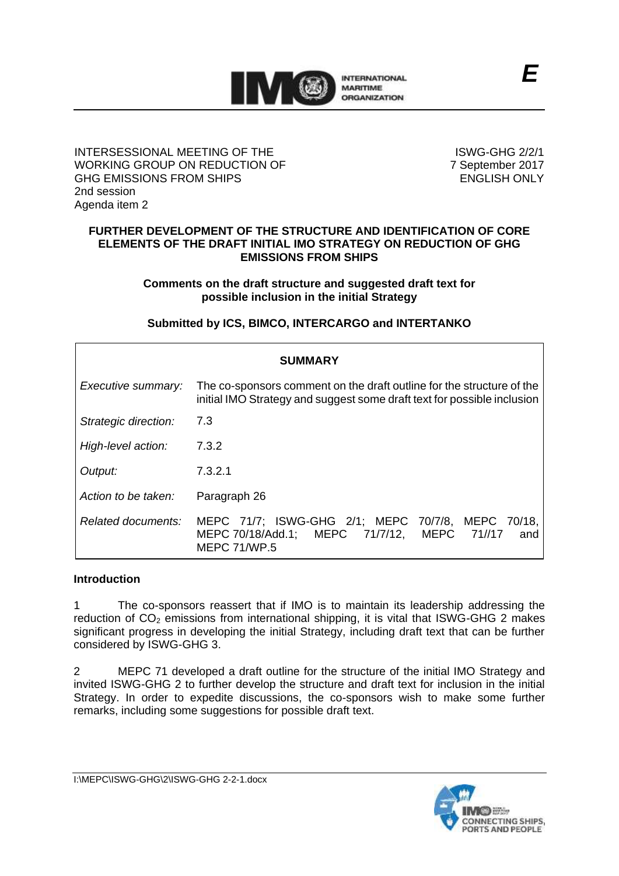

### INTERSESSIONAL MEETING OF THE WORKING GROUP ON REDUCTION OF GHG EMISSIONS FROM SHIPS 2nd session Agenda item 2

ISWG-GHG 2/2/1 7 September 2017 ENGLISH ONLY

#### **FURTHER DEVELOPMENT OF THE STRUCTURE AND IDENTIFICATION OF CORE ELEMENTS OF THE DRAFT INITIAL IMO STRATEGY ON REDUCTION OF GHG EMISSIONS FROM SHIPS**

**Comments on the draft structure and suggested draft text for possible inclusion in the initial Strategy**

# **Submitted by ICS, BIMCO, INTERCARGO and INTERTANKO**

| <b>SUMMARY</b>       |                                                                                                                                                  |
|----------------------|--------------------------------------------------------------------------------------------------------------------------------------------------|
| Executive summary:   | The co-sponsors comment on the draft outline for the structure of the<br>initial IMO Strategy and suggest some draft text for possible inclusion |
| Strategic direction: | 7.3                                                                                                                                              |
| High-level action:   | 7.3.2                                                                                                                                            |
| Output:              | 7.3.2.1                                                                                                                                          |
| Action to be taken:  | Paragraph 26                                                                                                                                     |
| Related documents:   | MEPC 71/7; ISWG-GHG 2/1; MEPC 70/7/8, MEPC 70/18,<br>MEPC 70/18/Add.1; MEPC 71/7/12, MEPC 71//17<br>and<br><b>MEPC 71/WP.5</b>                   |

### **Introduction**

1 The co-sponsors reassert that if IMO is to maintain its leadership addressing the reduction of  $CO<sub>2</sub>$  emissions from international shipping, it is vital that ISWG-GHG 2 makes significant progress in developing the initial Strategy, including draft text that can be further considered by ISWG-GHG 3.

2 MEPC 71 developed a draft outline for the structure of the initial IMO Strategy and invited ISWG-GHG 2 to further develop the structure and draft text for inclusion in the initial Strategy. In order to expedite discussions, the co-sponsors wish to make some further remarks, including some suggestions for possible draft text.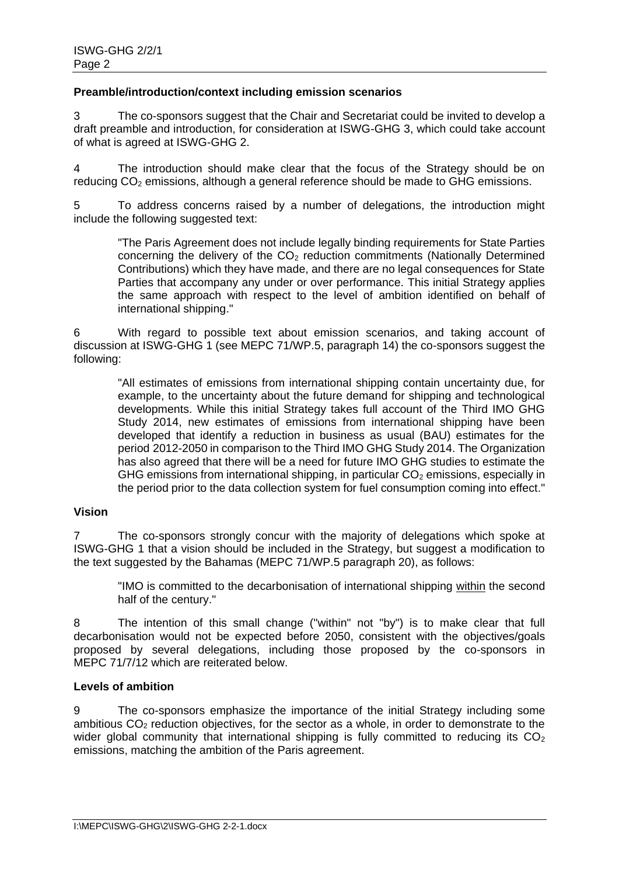### **Preamble/introduction/context including emission scenarios**

3 The co-sponsors suggest that the Chair and Secretariat could be invited to develop a draft preamble and introduction, for consideration at ISWG-GHG 3, which could take account of what is agreed at ISWG-GHG 2.

4 The introduction should make clear that the focus of the Strategy should be on reducing  $CO<sub>2</sub>$  emissions, although a general reference should be made to GHG emissions.

5 To address concerns raised by a number of delegations, the introduction might include the following suggested text:

"The Paris Agreement does not include legally binding requirements for State Parties concerning the delivery of the CO<sub>2</sub> reduction commitments (Nationally Determined Contributions) which they have made, and there are no legal consequences for State Parties that accompany any under or over performance. This initial Strategy applies the same approach with respect to the level of ambition identified on behalf of international shipping."

6 With regard to possible text about emission scenarios, and taking account of discussion at ISWG-GHG 1 (see MEPC 71/WP.5, paragraph 14) the co-sponsors suggest the following:

"All estimates of emissions from international shipping contain uncertainty due, for example, to the uncertainty about the future demand for shipping and technological developments. While this initial Strategy takes full account of the Third IMO GHG Study 2014, new estimates of emissions from international shipping have been developed that identify a reduction in business as usual (BAU) estimates for the period 2012-2050 in comparison to the Third IMO GHG Study 2014. The Organization has also agreed that there will be a need for future IMO GHG studies to estimate the GHG emissions from international shipping, in particular  $CO<sub>2</sub>$  emissions, especially in the period prior to the data collection system for fuel consumption coming into effect."

### **Vision**

7 The co-sponsors strongly concur with the majority of delegations which spoke at ISWG-GHG 1 that a vision should be included in the Strategy, but suggest a modification to the text suggested by the Bahamas (MEPC 71/WP.5 paragraph 20), as follows:

"IMO is committed to the decarbonisation of international shipping within the second half of the century."

8 The intention of this small change ("within" not "by") is to make clear that full decarbonisation would not be expected before 2050, consistent with the objectives/goals proposed by several delegations, including those proposed by the co-sponsors in MEPC 71/7/12 which are reiterated below.

### **Levels of ambition**

9 The co-sponsors emphasize the importance of the initial Strategy including some ambitious  $CO<sub>2</sub>$  reduction objectives, for the sector as a whole, in order to demonstrate to the wider global community that international shipping is fully committed to reducing its  $CO<sub>2</sub>$ emissions, matching the ambition of the Paris agreement.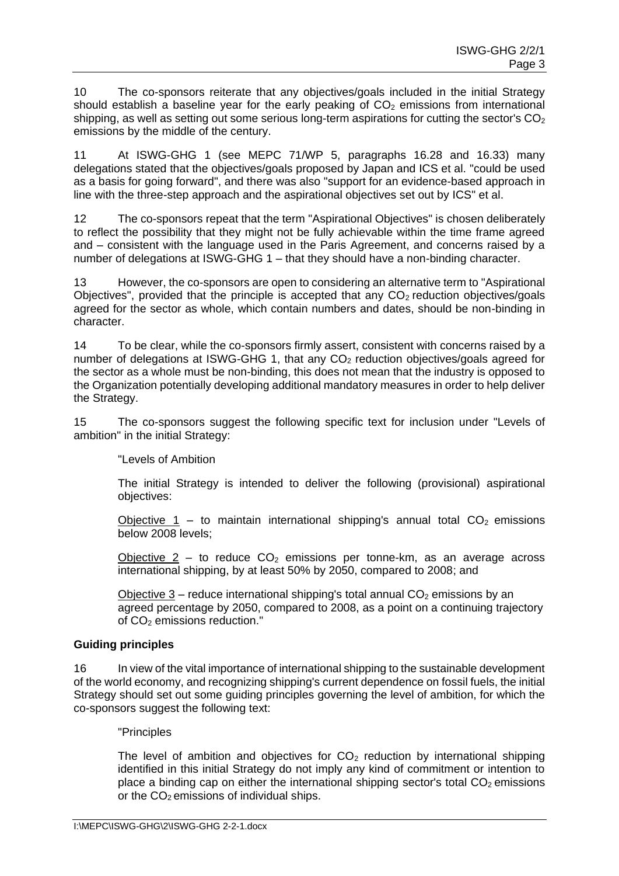10 The co-sponsors reiterate that any objectives/goals included in the initial Strategy should establish a baseline year for the early peaking of  $CO<sub>2</sub>$  emissions from international shipping, as well as setting out some serious long-term aspirations for cutting the sector's  $CO<sub>2</sub>$ emissions by the middle of the century.

11 At ISWG-GHG 1 (see MEPC 71/WP 5, paragraphs 16.28 and 16.33) many delegations stated that the objectives/goals proposed by Japan and ICS et al. "could be used as a basis for going forward", and there was also "support for an evidence-based approach in line with the three-step approach and the aspirational objectives set out by ICS" et al.

12 The co-sponsors repeat that the term "Aspirational Objectives" is chosen deliberately to reflect the possibility that they might not be fully achievable within the time frame agreed and – consistent with the language used in the Paris Agreement, and concerns raised by a number of delegations at ISWG-GHG 1 – that they should have a non-binding character.

13 However, the co-sponsors are open to considering an alternative term to "Aspirational Objectives", provided that the principle is accepted that any  $CO<sub>2</sub>$  reduction objectives/goals agreed for the sector as whole, which contain numbers and dates, should be non-binding in character.

14 To be clear, while the co-sponsors firmly assert, consistent with concerns raised by a number of delegations at ISWG-GHG 1, that any  $CO<sub>2</sub>$  reduction objectives/goals agreed for the sector as a whole must be non-binding, this does not mean that the industry is opposed to the Organization potentially developing additional mandatory measures in order to help deliver the Strategy.

15 The co-sponsors suggest the following specific text for inclusion under "Levels of ambition" in the initial Strategy:

"Levels of Ambition

The initial Strategy is intended to deliver the following (provisional) aspirational objectives:

Objective 1 – to maintain international shipping's annual total  $CO<sub>2</sub>$  emissions below 2008 levels;

Objective 2 – to reduce  $CO<sub>2</sub>$  emissions per tonne-km, as an average across international shipping, by at least 50% by 2050, compared to 2008; and

Objective  $3$  – reduce international shipping's total annual  $CO<sub>2</sub>$  emissions by an agreed percentage by 2050, compared to 2008, as a point on a continuing trajectory of CO<sub>2</sub> emissions reduction."

# **Guiding principles**

16 In view of the vital importance of international shipping to the sustainable development of the world economy, and recognizing shipping's current dependence on fossil fuels, the initial Strategy should set out some guiding principles governing the level of ambition, for which the co-sponsors suggest the following text:

### "Principles

The level of ambition and objectives for  $CO<sub>2</sub>$  reduction by international shipping identified in this initial Strategy do not imply any kind of commitment or intention to place a binding cap on either the international shipping sector's total  $CO<sub>2</sub>$  emissions or the  $CO<sub>2</sub>$  emissions of individual ships.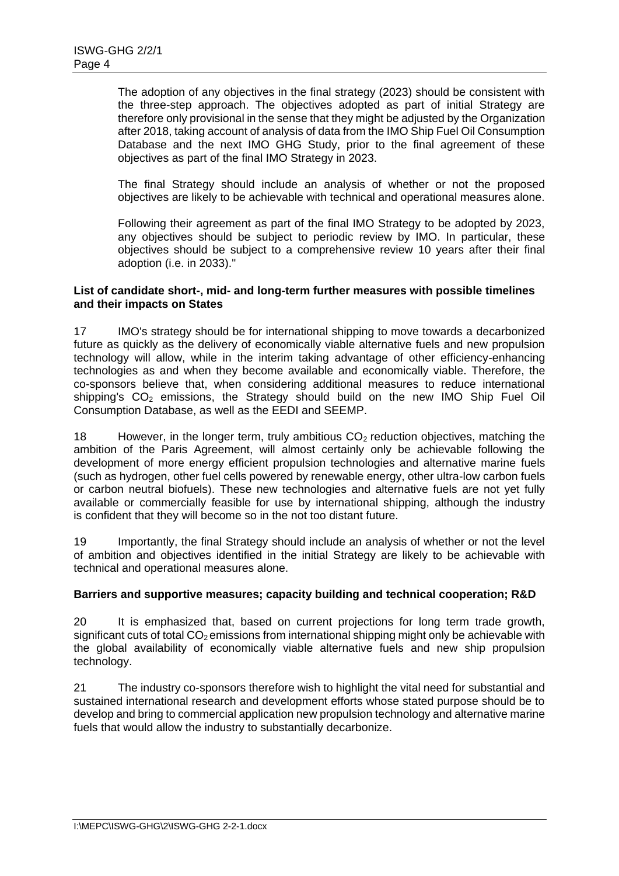The adoption of any objectives in the final strategy (2023) should be consistent with the three-step approach. The objectives adopted as part of initial Strategy are therefore only provisional in the sense that they might be adjusted by the Organization after 2018, taking account of analysis of data from the IMO Ship Fuel Oil Consumption Database and the next IMO GHG Study, prior to the final agreement of these objectives as part of the final IMO Strategy in 2023.

The final Strategy should include an analysis of whether or not the proposed objectives are likely to be achievable with technical and operational measures alone.

Following their agreement as part of the final IMO Strategy to be adopted by 2023, any objectives should be subject to periodic review by IMO. In particular, these objectives should be subject to a comprehensive review 10 years after their final adoption (i.e. in 2033)."

#### **List of candidate short-, mid- and long-term further measures with possible timelines and their impacts on States**

17 IMO's strategy should be for international shipping to move towards a decarbonized future as quickly as the delivery of economically viable alternative fuels and new propulsion technology will allow, while in the interim taking advantage of other efficiency-enhancing technologies as and when they become available and economically viable. Therefore, the co-sponsors believe that, when considering additional measures to reduce international shipping's  $CO<sub>2</sub>$  emissions, the Strategy should build on the new IMO Ship Fuel Oil Consumption Database, as well as the EEDI and SEEMP.

18 However, in the longer term, truly ambitious  $CO<sub>2</sub>$  reduction objectives, matching the ambition of the Paris Agreement, will almost certainly only be achievable following the development of more energy efficient propulsion technologies and alternative marine fuels (such as hydrogen, other fuel cells powered by renewable energy, other ultra-low carbon fuels or carbon neutral biofuels). These new technologies and alternative fuels are not yet fully available or commercially feasible for use by international shipping, although the industry is confident that they will become so in the not too distant future.

19 Importantly, the final Strategy should include an analysis of whether or not the level of ambition and objectives identified in the initial Strategy are likely to be achievable with technical and operational measures alone.

### **Barriers and supportive measures; capacity building and technical cooperation; R&D**

20 It is emphasized that, based on current projections for long term trade growth, significant cuts of total  $CO<sub>2</sub>$  emissions from international shipping might only be achievable with the global availability of economically viable alternative fuels and new ship propulsion technology.

21 The industry co-sponsors therefore wish to highlight the vital need for substantial and sustained international research and development efforts whose stated purpose should be to develop and bring to commercial application new propulsion technology and alternative marine fuels that would allow the industry to substantially decarbonize.